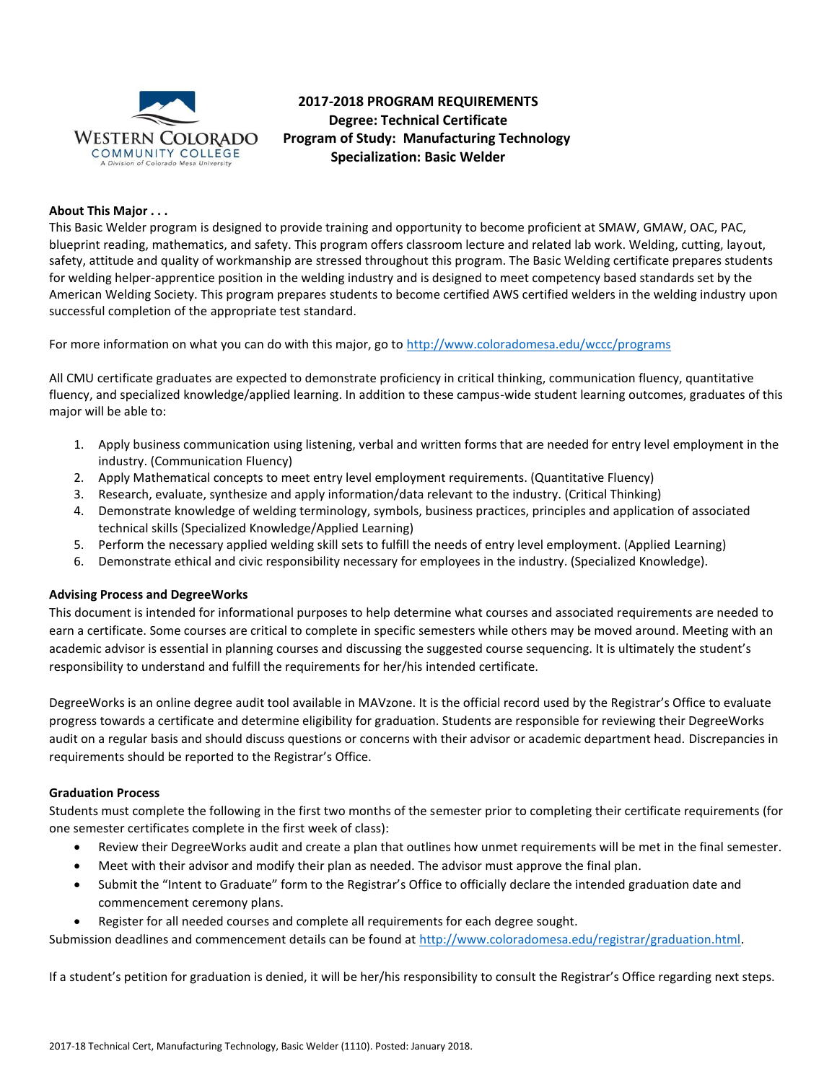

# **2017-2018 PROGRAM REQUIREMENTS Degree: Technical Certificate Program of Study: Manufacturing Technology Specialization: Basic Welder**

## **About This Major . . .**

This Basic Welder program is designed to provide training and opportunity to become proficient at SMAW, GMAW, OAC, PAC, blueprint reading, mathematics, and safety. This program offers classroom lecture and related lab work. Welding, cutting, layout, safety, attitude and quality of workmanship are stressed throughout this program. The Basic Welding certificate prepares students for welding helper-apprentice position in the welding industry and is designed to meet competency based standards set by the American Welding Society. This program prepares students to become certified AWS certified welders in the welding industry upon successful completion of the appropriate test standard.

For more information on what you can do with this major, go to<http://www.coloradomesa.edu/wccc/programs>

All CMU certificate graduates are expected to demonstrate proficiency in critical thinking, communication fluency, quantitative fluency, and specialized knowledge/applied learning. In addition to these campus-wide student learning outcomes, graduates of this major will be able to:

- 1. Apply business communication using listening, verbal and written forms that are needed for entry level employment in the industry. (Communication Fluency)
- 2. Apply Mathematical concepts to meet entry level employment requirements. (Quantitative Fluency)
- 3. Research, evaluate, synthesize and apply information/data relevant to the industry. (Critical Thinking)
- 4. Demonstrate knowledge of welding terminology, symbols, business practices, principles and application of associated technical skills (Specialized Knowledge/Applied Learning)
- 5. Perform the necessary applied welding skill sets to fulfill the needs of entry level employment. (Applied Learning)
- 6. Demonstrate ethical and civic responsibility necessary for employees in the industry. (Specialized Knowledge).

#### **Advising Process and DegreeWorks**

This document is intended for informational purposes to help determine what courses and associated requirements are needed to earn a certificate. Some courses are critical to complete in specific semesters while others may be moved around. Meeting with an academic advisor is essential in planning courses and discussing the suggested course sequencing. It is ultimately the student's responsibility to understand and fulfill the requirements for her/his intended certificate.

DegreeWorks is an online degree audit tool available in MAVzone. It is the official record used by the Registrar's Office to evaluate progress towards a certificate and determine eligibility for graduation. Students are responsible for reviewing their DegreeWorks audit on a regular basis and should discuss questions or concerns with their advisor or academic department head. Discrepancies in requirements should be reported to the Registrar's Office.

#### **Graduation Process**

Students must complete the following in the first two months of the semester prior to completing their certificate requirements (for one semester certificates complete in the first week of class):

- Review their DegreeWorks audit and create a plan that outlines how unmet requirements will be met in the final semester.
- Meet with their advisor and modify their plan as needed. The advisor must approve the final plan.
- Submit the "Intent to Graduate" form to the Registrar's Office to officially declare the intended graduation date and commencement ceremony plans.
- Register for all needed courses and complete all requirements for each degree sought.
- Submission deadlines and commencement details can be found at [http://www.coloradomesa.edu/registrar/graduation.html.](http://www.coloradomesa.edu/registrar/graduation.html)

If a student's petition for graduation is denied, it will be her/his responsibility to consult the Registrar's Office regarding next steps.